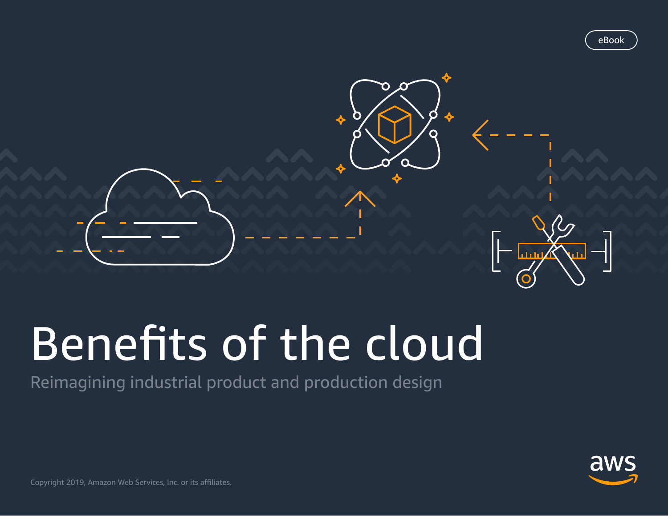

# Benefits of the cloud

Reimagining industrial product and production design



Copyright 2019, Amazon Web Services, Inc. or its affiliates.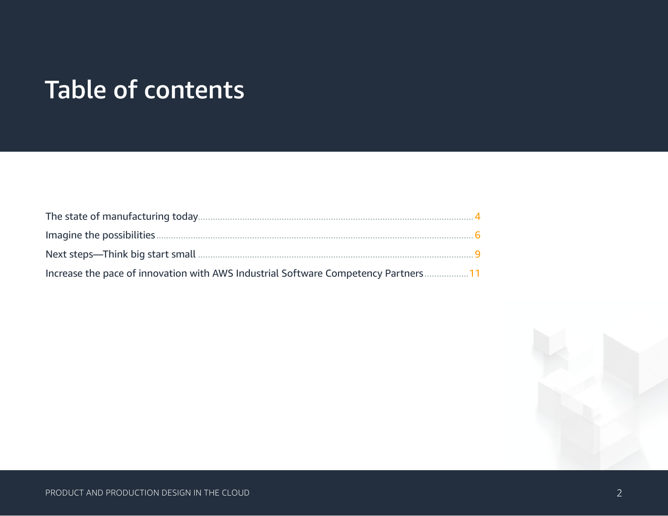### Table of contents

| The state of manufacturing today.                                                  |     |
|------------------------------------------------------------------------------------|-----|
| - 6                                                                                |     |
|                                                                                    | - Q |
| Increase the pace of innovation with AWS Industrial Software Competency Partners11 |     |

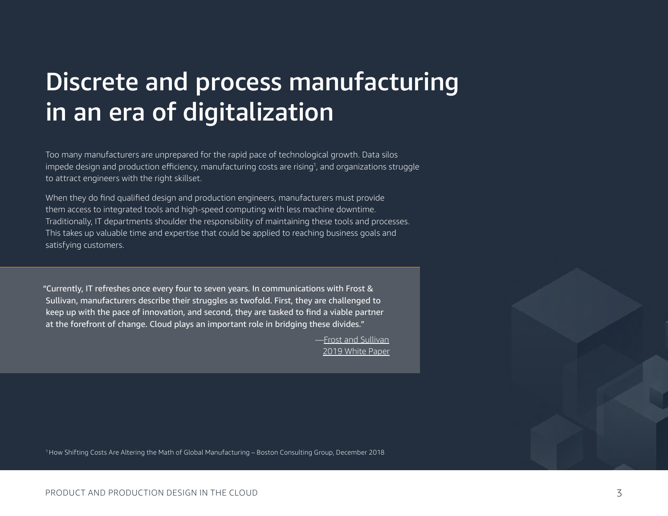### Discrete and process manufacturing in an era of digitalization

Too many manufacturers are unprepared for the rapid pace of technological growth. Data silos impede design and production efficiency, manufacturing costs are rising<sup>1</sup>, and organizations struggle to attract engineers with the right skillset.

When they do find qualified design and production engineers, manufacturers must provide them access to integrated tools and high-speed computing with less machine downtime. Traditionally, IT departments shoulder the responsibility of maintaining these tools and processes. This takes up valuable time and expertise that could be applied to reaching business goals and satisfying customers.

"Currently, IT refreshes once every four to seven years. In communications with Frost & Sullivan, manufacturers describe their struggles as twofold. First, they are challenged to keep up with the pace of innovation, and second, they are tasked to find a viable partner at the forefront of change. Cloud plays an important role in bridging these divides."

> —[Frost and Sullivan](https://pages.awscloud.com/rs/112-TZM-766/images/FS_WP_AWS Manufacturing Transformation_FINAL_02.27.2019 %281%29.pdf?aliId=eyJpIjoiUkJcL0RKM3VEc3VFNWVkR3oiLCJ0IjoiNUphXC80czlzMFhWaHhjMng3c2NqUFE9PSJ9) [2019 White Paper](https://pages.awscloud.com/rs/112-TZM-766/images/FS_WP_AWS Manufacturing Transformation_FINAL_02.27.2019 %281%29.pdf?aliId=eyJpIjoiUkJcL0RKM3VEc3VFNWVkR3oiLCJ0IjoiNUphXC80czlzMFhWaHhjMng3c2NqUFE9PSJ9)

<sup>1</sup>How Shifting Costs Are Altering the Math of Global Manufacturing – Boston Consulting Group, December 2018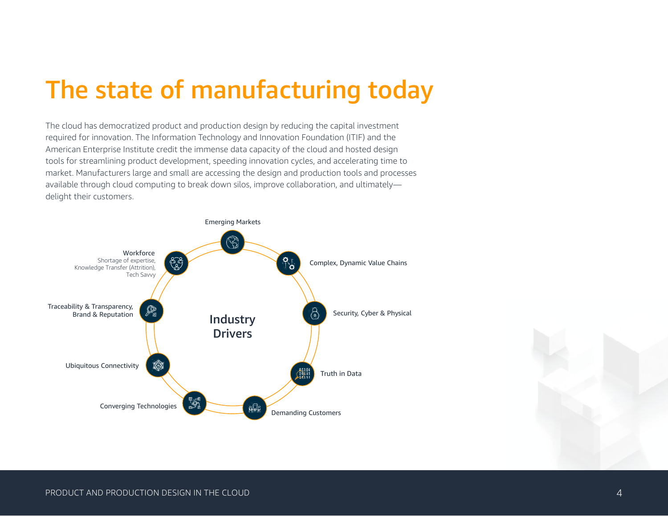### <span id="page-3-0"></span>The state of manufacturing today

The cloud has democratized product and production design by reducing the capital investment required for innovation. The Information Technology and Innovation Foundation (ITIF) and the American Enterprise Institute credit the immense data capacity of the cloud and hosted design tools for streamlining product development, speeding innovation cycles, and accelerating time to market. Manufacturers large and small are accessing the design and production tools and processes available through cloud computing to break down silos, improve collaboration, and ultimately delight their customers.



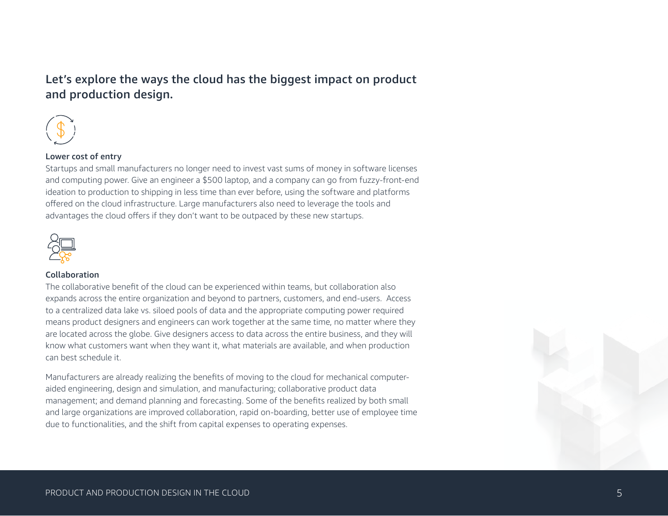#### Let's explore the ways the cloud has the biggest impact on product and production design.



#### Lower cost of entry

Startups and small manufacturers no longer need to invest vast sums of money in software licenses and computing power. Give an engineer a \$500 laptop, and a company can go from fuzzy-front-end ideation to production to shipping in less time than ever before, using the software and platforms offered on the cloud infrastructure. Large manufacturers also need to leverage the tools and advantages the cloud offers if they don't want to be outpaced by these new startups.



#### Collaboration

The collaborative benefit of the cloud can be experienced within teams, but collaboration also expands across the entire organization and beyond to partners, customers, and end-users. Access to a centralized data lake vs. siloed pools of data and the appropriate computing power required means product designers and engineers can work together at the same time, no matter where they are located across the globe. Give designers access to data across the entire business, and they will know what customers want when they want it, what materials are available, and when production can best schedule it.

Manufacturers are already realizing the benefits of moving to the cloud for mechanical computeraided engineering, design and simulation, and manufacturing; collaborative product data management; and demand planning and forecasting. Some of the benefits realized by both small and large organizations are improved collaboration, rapid on-boarding, better use of employee time due to functionalities, and the shift from capital expenses to operating expenses.

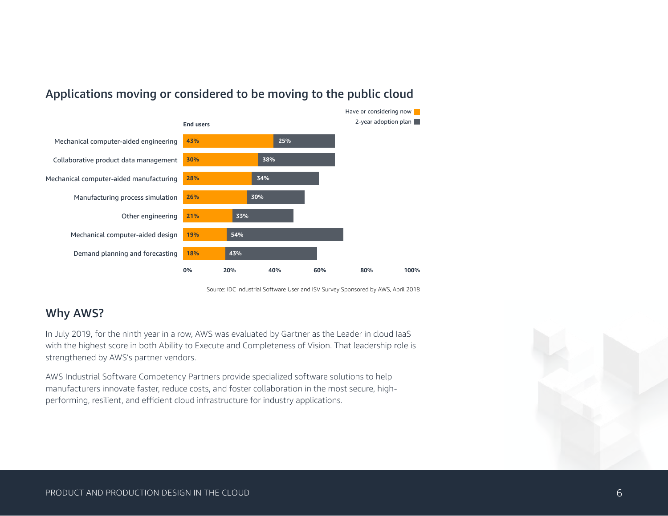

#### Applications moving or considered to be moving to the public cloud

Source: IDC Industrial Software User and ISV Survey Sponsored by AWS, April 2018

#### Why AWS?

In July 2019, for the ninth year in a row, AWS was evaluated by Gartner as the Leader in cloud IaaS with the highest score in both Ability to Execute and Completeness of Vision. That leadership role is strengthened by AWS's partner vendors.

AWS Industrial Software Competency Partners provide specialized software solutions to help manufacturers innovate faster, reduce costs, and foster collaboration in the most secure, highperforming, resilient, and efficient cloud infrastructure for industry applications.

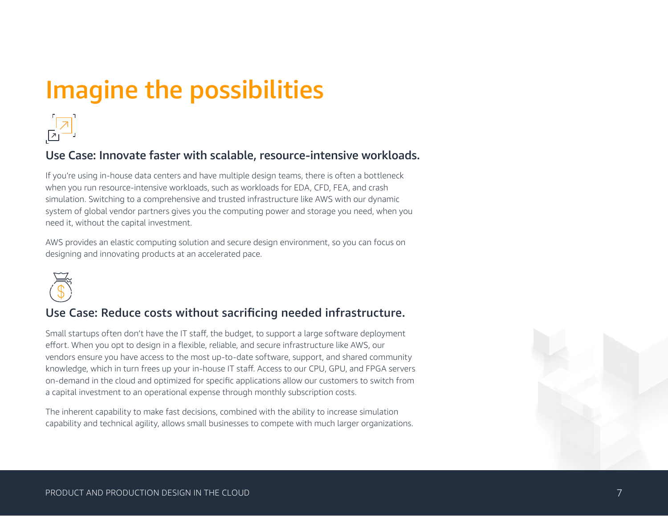## <span id="page-6-0"></span>Imagine the possibilities



#### Use Case: Innovate faster with scalable, resource-intensive workloads.

If you're using in-house data centers and have multiple design teams, there is often a bottleneck when you run resource-intensive workloads, such as workloads for EDA, CFD, FEA, and crash simulation. Switching to a comprehensive and trusted infrastructure like AWS with our dynamic system of global vendor partners gives you the computing power and storage you need, when you need it, without the capital investment.

AWS provides an elastic computing solution and secure design environment, so you can focus on designing and innovating products at an accelerated pace.



#### Use Case: Reduce costs without sacrificing needed infrastructure.

Small startups often don't have the IT staff, the budget, to support a large software deployment effort. When you opt to design in a flexible, reliable, and secure infrastructure like AWS, our vendors ensure you have access to the most up-to-date software, support, and shared community knowledge, which in turn frees up your in-house IT staff. Access to our CPU, GPU, and FPGA servers on-demand in the cloud and optimized for specific applications allow our customers to switch from a capital investment to an operational expense through monthly subscription costs.

The inherent capability to make fast decisions, combined with the ability to increase simulation capability and technical agility, allows small businesses to compete with much larger organizations.

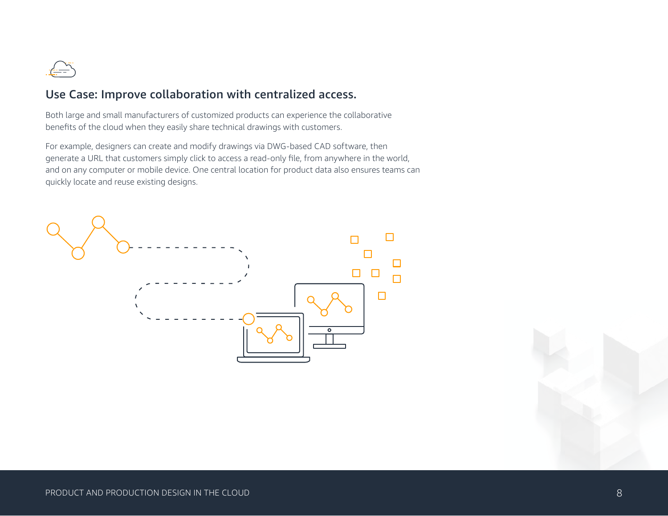

#### Use Case: Improve collaboration with centralized access.

Both large and small manufacturers of customized products can experience the collaborative benefits of the cloud when they easily share technical drawings with customers.

For example, designers can create and modify drawings via DWG-based CAD software, then generate a URL that customers simply click to access a read-only file, from anywhere in the world, and on any computer or mobile device. One central location for product data also ensures teams can quickly locate and reuse existing designs.

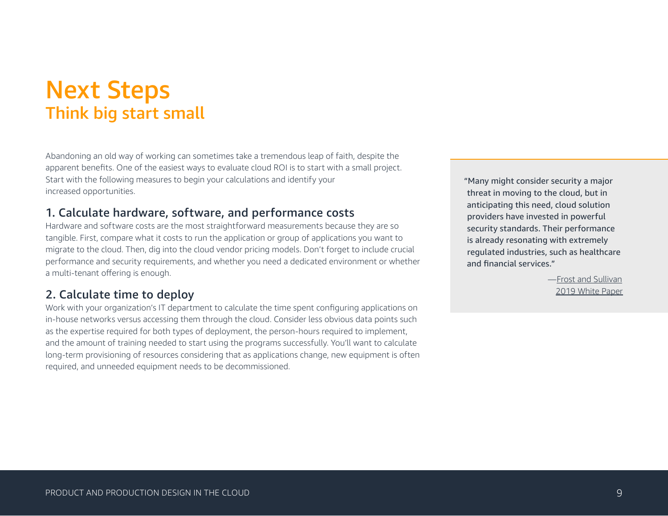### <span id="page-8-0"></span>Next Steps Think big start small

Abandoning an old way of working can sometimes take a tremendous leap of faith, despite the apparent benefits. One of the easiest ways to evaluate cloud ROI is to start with a small project. Start with the following measures to begin your calculations and identify your increased opportunities.

#### 1. Calculate hardware, software, and performance costs

Hardware and software costs are the most straightforward measurements because they are so tangible. First, compare what it costs to run the application or group of applications you want to migrate to the cloud. Then, dig into the cloud vendor pricing models. Don't forget to include crucial performance and security requirements, and whether you need a dedicated environment or whether a multi-tenant offering is enough.

#### 2. Calculate time to deploy

Work with your organization's IT department to calculate the time spent configuring applications on in-house networks versus accessing them through the cloud. Consider less obvious data points such as the expertise required for both types of deployment, the person-hours required to implement, and the amount of training needed to start using the programs successfully. You'll want to calculate long-term provisioning of resources considering that as applications change, new equipment is often required, and unneeded equipment needs to be decommissioned.

"Many might consider security a major threat in moving to the cloud, but in anticipating this need, cloud solution providers have invested in powerful security standards. Their performance is already resonating with extremely regulated industries, such as healthcare and financial services."

> —[Frost and Sullivan](https://pages.awscloud.com/rs/112-TZM-766/images/FS_WP_AWS Manufacturing Transformation_FINAL_02.27.2019 %281%29.pdf?aliId=eyJpIjoiUkJcL0RKM3VEc3VFNWVkR3oiLCJ0IjoiNUphXC80czlzMFhWaHhjMng3c2NqUFE9PSJ9) [2019 White Paper](https://pages.awscloud.com/rs/112-TZM-766/images/FS_WP_AWS Manufacturing Transformation_FINAL_02.27.2019 %281%29.pdf?aliId=eyJpIjoiUkJcL0RKM3VEc3VFNWVkR3oiLCJ0IjoiNUphXC80czlzMFhWaHhjMng3c2NqUFE9PSJ9)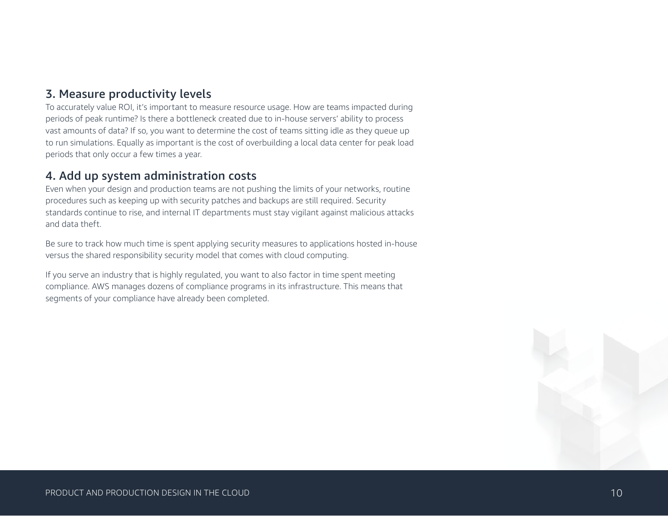#### 3. Measure productivity levels

To accurately value ROI, it's important to measure resource usage. How are teams impacted during periods of peak runtime? Is there a bottleneck created due to in-house servers' ability to process vast amounts of data? If so, you want to determine the cost of teams sitting idle as they queue up to run simulations. Equally as important is the cost of overbuilding a local data center for peak load periods that only occur a few times a year.

#### 4. Add up system administration costs

Even when your design and production teams are not pushing the limits of your networks, routine procedures such as keeping up with security patches and backups are still required. Security standards continue to rise, and internal IT departments must stay vigilant against malicious attacks and data theft.

Be sure to track how much time is spent applying security measures to applications hosted in-house versus the shared responsibility security model that comes with cloud computing.

If you serve an industry that is highly regulated, you want to also factor in time spent meeting compliance. AWS manages dozens of compliance programs in its infrastructure. This means that segments of your compliance have already been completed.

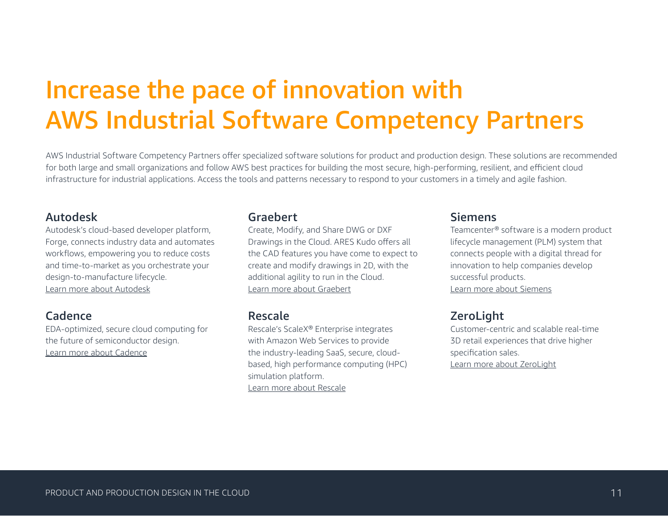### <span id="page-10-0"></span>Increase the pace of innovation with AWS Industrial Software Competency Partners

AWS Industrial Software Competency Partners offer specialized software solutions for product and production design. These solutions are recommended for both large and small organizations and follow AWS best practices for building the most secure, high-performing, resilient, and efficient cloud infrastructure for industrial applications. Access the tools and patterns necessary to respond to your customers in a timely and agile fashion.

#### Autodesk

Autodesk's cloud-based developer platform, Forge, connects industry data and automates workflows, empowering you to reduce costs and time-to-market as you orchestrate your design-to-manufacture lifecycle. [Learn more about Autodesk](https://forge.autodesk.com/)

#### Cadence

EDA-optimized, secure cloud computing for the future of semiconductor design. [Learn more about Cadence](https://www.cadence.com/content/cadence-www/global/en_US/home/solutions/cadence-cloud/cloud-partners/aws-partner-network.html)

#### Graebert

Create, Modify, and Share DWG or DXF Drawings in the Cloud. ARES Kudo offers all the CAD features you have come to expect to create and modify drawings in 2D, with the additional agility to run in the Cloud. [Learn more about Graebert](https://www.graebert.com/cad-software/ares-kudo)

#### Rescale

Rescale's ScaleX® Enterprise integrates with Amazon Web Services to provide the industry-leading SaaS, secure, cloudbased, high performance computing (HPC) simulation platform. [Learn more about Rescale](https://www.rescale.com/aws/)

#### Siemens

Teamcenter® software is a modern product lifecycle management (PLM) system that connects people with a digital thread for innovation to help companies develop successful products. [Learn more about Siemens](https://www.plm.automation.siemens.com/global/en/products/teamcenter/)

#### **ZeroLight**

Customer-centric and scalable real-time 3D retail experiences that drive higher specification sales. [Learn more about ZeroLight](https://zerolight.com/retail-configurator)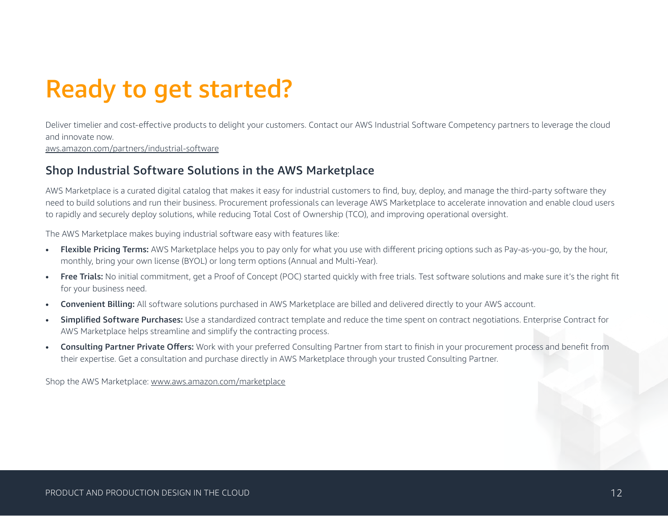## Ready to get started?

Deliver timelier and cost-effective products to delight your customers. Contact our AWS Industrial Software Competency partners to leverage the cloud and innovate now.

[aws.amazon.com/partners/industrial-software](http://aws.amazon.com/partners/industrial-software)

#### Shop Industrial Software Solutions in the AWS Marketplace

AWS Marketplace is a curated digital catalog that makes it easy for industrial customers to find, buy, deploy, and manage the third-party software they need to build solutions and run their business. Procurement professionals can leverage AWS Marketplace to accelerate innovation and enable cloud users to rapidly and securely deploy solutions, while reducing Total Cost of Ownership (TCO), and improving operational oversight.

The AWS Marketplace makes buying industrial software easy with features like:

- Flexible Pricing Terms: AWS Marketplace helps you to pay only for what you use with different pricing options such as Pay-as-you-go, by the hour, monthly, bring your own license (BYOL) or long term options (Annual and Multi-Year).
- Free Trials: No initial commitment, get a Proof of Concept (POC) started quickly with free trials. Test software solutions and make sure it's the right fit for your business need.
- **Convenient Billing:** All software solutions purchased in AWS Marketplace are billed and delivered directly to your AWS account.
- **Simplified Software Purchases:** Use a standardized contract template and reduce the time spent on contract negotiations. Enterprise Contract for AWS Marketplace helps streamline and simplify the contracting process.
- **Consulting Partner Private Offers:** Work with your preferred Consulting Partner from start to finish in your procurement process and benefit from their expertise. Get a consultation and purchase directly in AWS Marketplace through your trusted Consulting Partner.

Shop the AWS Marketplace: [www.aws.amazon.com/marketplace](http://www.aws.amazon.com/marketplace)